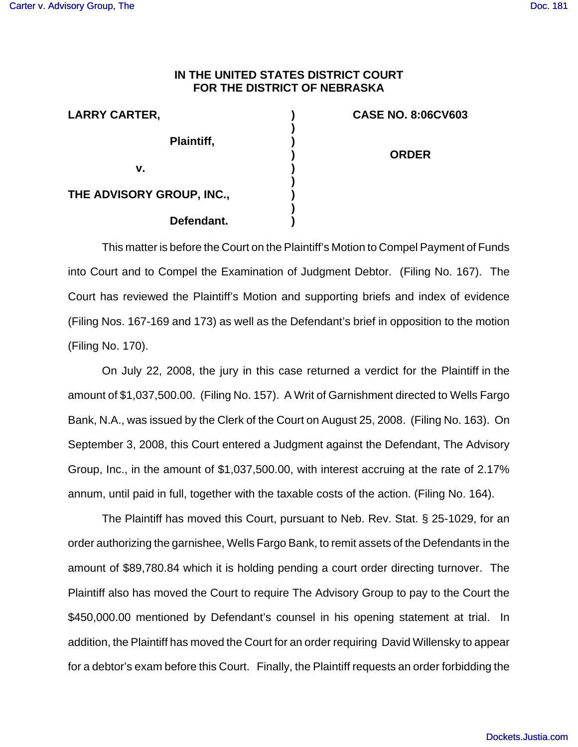## **IN THE UNITED STATES DISTRICT COURT FOR THE DISTRICT OF NEBRASKA**

| <b>LARRY CARTER,</b>      |  |
|---------------------------|--|
| Plaintiff,                |  |
| v.                        |  |
| THE ADVISORY GROUP, INC., |  |
| Defendant.                |  |

**CASE NO. 8:06CV603 ORDER**

This matter is before the Court on the Plaintiff's Motion to Compel Payment of Funds into Court and to Compel the Examination of Judgment Debtor. (Filing No. 167). The Court has reviewed the Plaintiff's Motion and supporting briefs and index of evidence (Filing Nos. 167-169 and 173) as well as the Defendant's brief in opposition to the motion (Filing No. 170).

 On July 22, 2008, the jury in this case returned a verdict for the Plaintiff in the amount of \$1,037,500.00. (Filing No. 157). A Writ of Garnishment directed to Wells Fargo Bank, N.A., was issued by the Clerk of the Court on August 25, 2008. (Filing No. 163). On September 3, 2008, this Court entered a Judgment against the Defendant, The Advisory Group, Inc., in the amount of \$1,037,500.00, with interest accruing at the rate of 2.17% annum, until paid in full, together with the taxable costs of the action. (Filing No. 164).

The Plaintiff has moved this Court, pursuant to Neb. Rev. Stat. § 25-1029, for an order authorizing the garnishee, Wells Fargo Bank, to remit assets of the Defendants in the amount of \$89,780.84 which it is holding pending a court order directing turnover. The Plaintiff also has moved the Court to require The Advisory Group to pay to the Court the \$450,000.00 mentioned by Defendant's counsel in his opening statement at trial. In addition, the Plaintiff has moved the Court for an order requiring David Willensky to appear for a debtor's exam before this Court. Finally, the Plaintiff requests an order forbidding the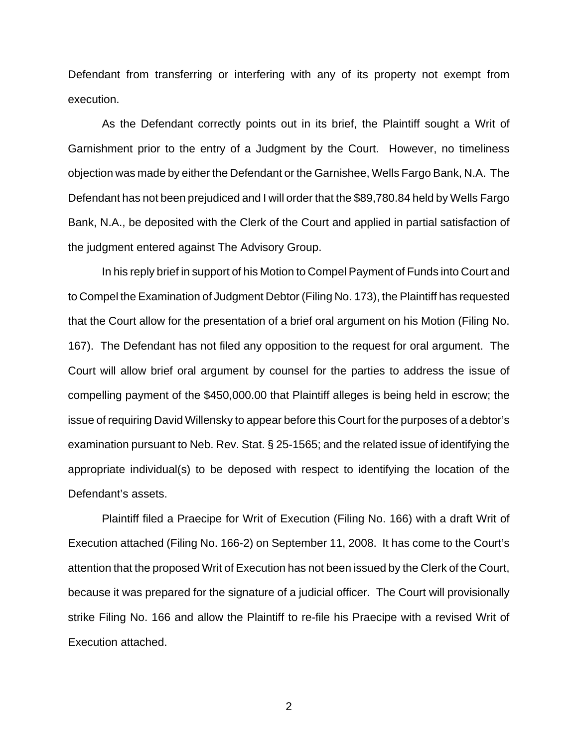Defendant from transferring or interfering with any of its property not exempt from execution.

As the Defendant correctly points out in its brief, the Plaintiff sought a Writ of Garnishment prior to the entry of a Judgment by the Court. However, no timeliness objection was made by either the Defendant or the Garnishee, Wells Fargo Bank, N.A. The Defendant has not been prejudiced and I will order that the \$89,780.84 held by Wells Fargo Bank, N.A., be deposited with the Clerk of the Court and applied in partial satisfaction of the judgment entered against The Advisory Group.

In his reply brief in support of his Motion to Compel Payment of Funds into Court and to Compel the Examination of Judgment Debtor (Filing No. 173), the Plaintiff has requested that the Court allow for the presentation of a brief oral argument on his Motion (Filing No. 167). The Defendant has not filed any opposition to the request for oral argument. The Court will allow brief oral argument by counsel for the parties to address the issue of compelling payment of the \$450,000.00 that Plaintiff alleges is being held in escrow; the issue of requiring David Willensky to appear before this Court for the purposes of a debtor's examination pursuant to Neb. Rev. Stat. § 25-1565; and the related issue of identifying the appropriate individual(s) to be deposed with respect to identifying the location of the Defendant's assets.

Plaintiff filed a Praecipe for Writ of Execution (Filing No. 166) with a draft Writ of Execution attached (Filing No. 166-2) on September 11, 2008. It has come to the Court's attention that the proposed Writ of Execution has not been issued by the Clerk of the Court, because it was prepared for the signature of a judicial officer. The Court will provisionally strike Filing No. 166 and allow the Plaintiff to re-file his Praecipe with a revised Writ of Execution attached.

2